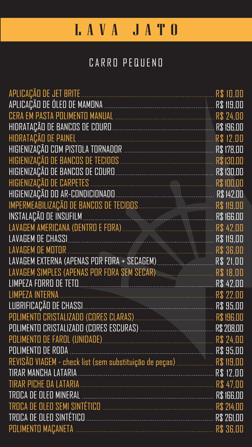| APLICAÇÃO DE JET BRITE            |            |
|-----------------------------------|------------|
| APLICAÇÃO DE ÓLEO DE MAMONA       | R\$ 119,00 |
| CERA EM PASTA POLIMENTO MANUAL    | R\$ 24,00  |
|                                   |            |
|                                   | R\$ 12,00  |
| HIGIENIZAÇÃO COM PISTOLA TORNADOR |            |
| HIGIENIZAÇÃO DE BANCOS DE TECIDOS | R\$130,00  |
| HIGIENIZAÇÃO DE BANCOS DE COURO   | R\$ 130,00 |
| HIGIENIZAÇÃO DE CARPETES          | R\$ 100,00 |
| HIGIENIZAÇÃO DO AR-CONDICIONADO   | R\$ 142,00 |
|                                   |            |

| INSTALAÇÃO DE INSUFILM                      |           |
|---------------------------------------------|-----------|
| LAVAGEM AMERICANA (DENTRO E FORA)           |           |
|                                             |           |
| LAVAGEM DE MOTOR                            | R\$ 36,00 |
| LAVAGEM EXTERNA (APENAS POR FORA + SECAGEM) |           |
| LAVAGEM SIMPLES (APENAS POR FORA SEM SECAR) |           |
| LIMPEZA FORRO DE TETO                       |           |
|                                             |           |
| LUBRIFICAÇÃO DE CHASSI                      |           |
|                                             |           |
|                                             |           |
| POLIMENTO DE FAROL (UNIDADE)                |           |
|                                             |           |
|                                             |           |
|                                             |           |
|                                             |           |
|                                             |           |
| TROCA DE OLEO SEMI SINTÉTICO                |           |
|                                             |           |







# LAVA JATO

## CARRO PEQUENO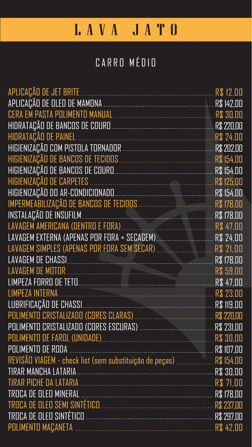| APLICAÇÃO DE JET BRITE                 | R\$ 12,00  |
|----------------------------------------|------------|
| APLICAÇÃO DE OLEO DE MAMONA            | R\$ 142,00 |
| CERA EM PASTA POLIMENTO MANUAL         | R\$ 30,00  |
| HIDRATAÇÃO DE BANCOS DE COURO          | R\$ 220,00 |
| HIDRATAÇÃO DE PAINEL                   | R\$ 24.00  |
|                                        |            |
| HIGIENIZAÇÃO DE BANCOS DE TECIDOS      | R\$ 154,00 |
| HIGIENIZAÇÃO DE BANCOS DE COURO        | R\$ 154,00 |
| HIGIENIZAÇÃO DE CARPETES               | R\$ 125,00 |
| HIGIENIZAÇÃO DO AR-CONDICIONADO        |            |
| IMPERMEABILIZAÇÃO DE BANCOS DE TECIDOS | R\$ 178,00 |

| INSTALAÇÃO DE INSUFILM                                                                                         | R\$ 178,00 |
|----------------------------------------------------------------------------------------------------------------|------------|
| LAVAGEM AMERICANA (DENTRO E FORA)                                                                              | R\$ 47,00  |
| LAVAGEM EXTERNA (APENAS POR FORA + SECAGEM).                                                                   | R\$ 24,00  |
| LAVAGEM SIMPLES (APENAS POR FORA SEM SECAR)                                                                    | R\$ 21,00  |
| LAVAGEM DE CHASSI DE LE CHASSI DE LAVAGEM DE L'ANDRESSE DE LA CONSEILE DE LA CONSEILE DE LA CONSEILE DE LA CON | R\$ 178,00 |
| LAVAGEM DE MOTOR                                                                                               | R\$ 59,00  |
| LIMPEZA FORRO DE TETO                                                                                          | R\$ 47,00  |
|                                                                                                                | R\$ 23,00  |
|                                                                                                                | R\$ 119,00 |
| POLIMENTO CRISTALIZADO (CORES CLARAS) [198] [198] [198] [198] R\$ 220,00                                       |            |
|                                                                                                                |            |
|                                                                                                                |            |
|                                                                                                                |            |
| REVISÃO VIAGEM - check list (sem substituição de peças)  R\$ 154,00                                            |            |
|                                                                                                                |            |
|                                                                                                                |            |
|                                                                                                                |            |
| TROCA DE OLEO SEMI SINTÉTICO                                                                                   |            |
|                                                                                                                |            |







# LAVA JATO

## CARRO MÉDIO